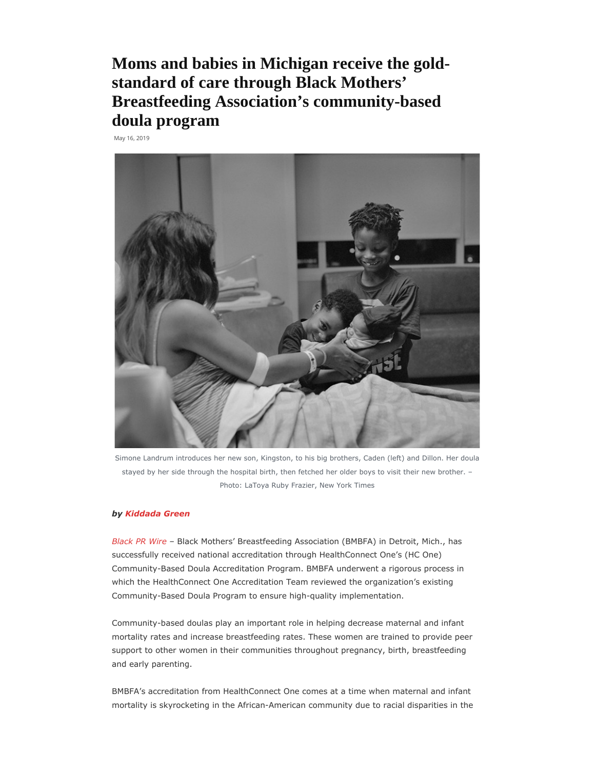Moms and babies in Michigan receive the goldstandard of care through Black Mothers' Breastfeeding Association's community-based doula program

May 16, 2019



Simone Landrum introduces her new son, Kingston, to his big brothers, Caden (left) and Dillon. Her doula stayed by her side through the hospital birth, then fetched her older boys to visit their new brother. – Photo: LaToya Ruby Frazier, New York Times

## by Kiddada Green

Black PR Wire – Black Mothers' Breastfeeding Association (BMBFA) in Detroit, Mich., has successfully received national accreditation through HealthConnect One's (HC One) Community-Based Doula Accreditation Program. BMBFA underwent a rigorous process in which the HealthConnect One Accreditation Team reviewed the organization's existing Community-Based Doula Program to ensure high-quality implementation.

Community-based doulas play an important role in helping decrease maternal and infant mortality rates and increase breastfeeding rates. These women are trained to provide peer support to other women in their communities throughout pregnancy, birth, breastfeeding and early parenting.

BMBFA's accreditation from HealthConnect One comes at a time when maternal and infant mortality is skyrocketing in the African-American community due to racial disparities in the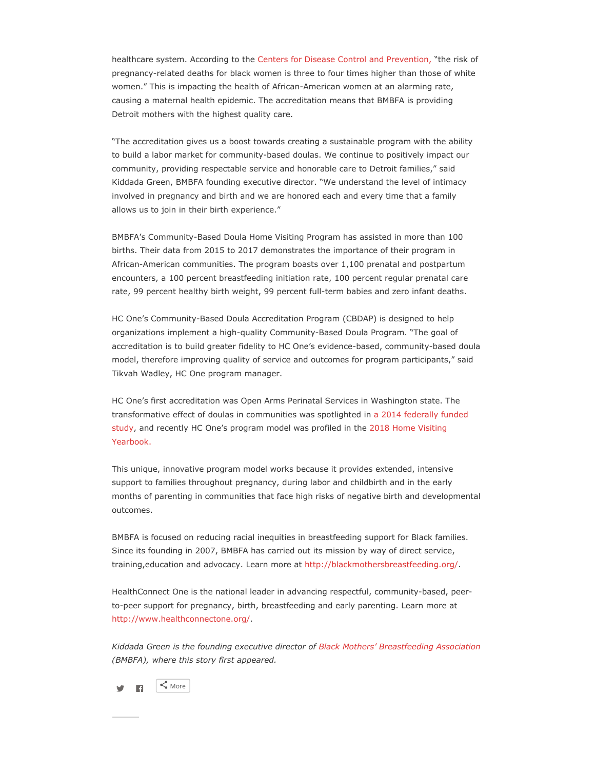healthcare system. According to the Centers for Disease Control and Prevention, "the risk of pregnancy-related deaths for black women is three to four times higher than those of white women." This is impacting the health of African-American women at an alarming rate, causing a maternal health epidemic. The accreditation means that BMBFA is providing Detroit mothers with the highest quality care.

"The accreditation gives us a boost towards creating a sustainable program with the ability to build a labor market for community-based doulas. We continue to positively impact our community, providing respectable service and honorable care to Detroit families," said Kiddada Green, BMBFA founding executive director. "We understand the level of intimacy involved in pregnancy and birth and we are honored each and every time that a family allows us to join in their birth experience."

BMBFA's Community-Based Doula Home Visiting Program has assisted in more than 100 births. Their data from 2015 to 2017 demonstrates the importance of their program in African-American communities. The program boasts over 1,100 prenatal and postpartum encounters, a 100 percent breastfeeding initiation rate, 100 percent regular prenatal care rate, 99 percent healthy birth weight, 99 percent full-term babies and zero infant deaths.

HC One's Community-Based Doula Accreditation Program (CBDAP) is designed to help organizations implement a high-quality Community-Based Doula Program. "The goal of accreditation is to build greater fidelity to HC One's evidence-based, community-based doula model, therefore improving quality of service and outcomes for program participants," said Tikvah Wadley, HC One program manager.

HC One's first accreditation was Open Arms Perinatal Services in Washington state. The transformative effect of doulas in communities was spotlighted in a 2014 federally funded study, and recently HC One's program model was profiled in the 2018 Home Visiting Yearbook.

This unique, innovative program model works because it provides extended, intensive support to families throughout pregnancy, during labor and childbirth and in the early months of parenting in communities that face high risks of negative birth and developmental outcomes.

BMBFA is focused on reducing racial inequities in breastfeeding support for Black families. Since its founding in 2007, BMBFA has carried out its mission by way of direct service, training,education and advocacy. Learn more at http://blackmothersbreastfeeding.org/.

HealthConnect One is the national leader in advancing respectful, community-based, peerto-peer support for pregnancy, birth, breastfeeding and early parenting. Learn more at http://www.healthconnectone.org/.

Kiddada Green is the founding executive director of Black Mothers' Breastfeeding Association (BMBFA), where this story first appeared.